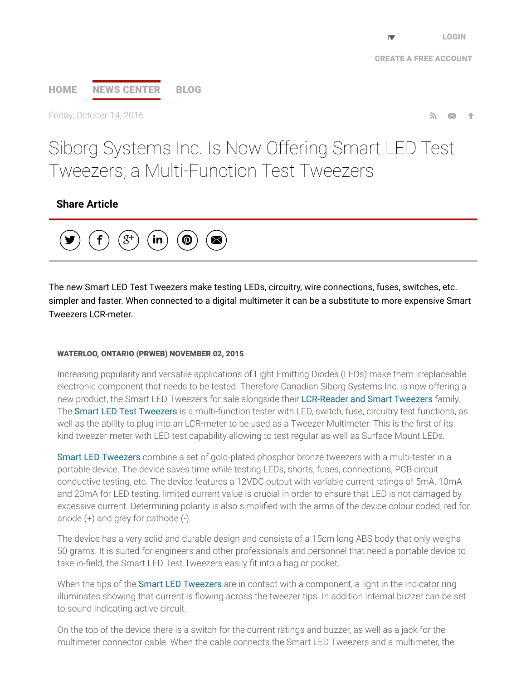## [HOME](http://www.prweb.com/) NEWS [CENTER](http://www.prweb.com/recentnews/) [BLOG](http://www.cision.com/us/blog/)

Friday, October 14, 2016 **Section 19, 2016** Section 19, 2016 **Section 19, 2016** Section 19, 2016

# Siborg Systems Inc. Is Now Offering Smart LED Test Tweezers; a Multi-Function Test Tweezers

### Share Article



The new Smart LED Test Tweezers make testing LEDs, circuitry, wire connections, fuses, switches, etc. simpler and faster. When connected to a digital multimeter it can be a substitute to more expensive Smart Tweezers LCR-meter.

#### WATERLOO, ONTARIO (PRWEB) NOVEMBER 02, 2015

Increasing popularity and versatile applications of Light Emitting Diodes (LEDs) make them irreplaceable electronic component that needs to be tested. Therefore Canadian Siborg Systems Inc. is now offering a new product, the Smart LED Tweezers for sale alongside their [LCR-Reader](http://www.prweb.net/Redirect.aspx?id=aHR0cDovL3d3dy5zbWFydHR3ZWV6ZXJzLnVz) and Smart Tweezers family. The Smart LED Test [Tweezers](http://www.prweb.net/Redirect.aspx?id=aHR0cDovL3d3dy5sY3ItcmVhZGVyLmNvbS9sZWRfdGVzdF90d2VlemVycy5odG1s) is a multi-function tester with LED, switch, fuse, circuitry test functions, as well as the ability to plug into an LCR-meter to be used as a Tweezer Multimeter. This is the first of its kind tweezer-meter with LED test capability allowing to test regular as well as Surface Mount LEDs.

Smart LED [Tweezers](http://www.prweb.net/Redirect.aspx?id=aHR0cDovL3d3dy5zaWJvcmcuY29tL2xlZF90ZXN0X3R3ZWV6ZXJzLmh0bWw=) combine a set of gold-plated phosphor bronze tweezers with a multi-tester in a portable device. The device saves time while testing LEDs, shorts, fuses, connections, PCB circuit conductive testing, etc. The device features a 12VDC output with variable current ratings of 5mA, 10mA and 20mA for LED testing. limited current value is crucial in order to ensure that LED is not damaged by excessive current. Determining polarity is also simplified with the arms of the device colour coded, red for anode  $(+)$  and grey for cathode  $(-)$ .

The device has a very solid and durable design and consists of a 15cm long ABS body that only weighs 50 grams. It is suited for engineers and other professionals and personnel that need a portable device to take in-field, the Smart LED Test Tweezers easily fit into a bag or pocket.

When the tips of the **Smart LED [Tweezers](http://www.prweb.net/Redirect.aspx?id=aHR0cDovL3d3dy5zbWFydHR3ZWV6ZXJzLmNhL2xlZF90ZXN0X3R3ZWV6ZXJzLmh0bWw=)** are in contact with a component, a light in the indicator ring illuminates showing that current is flowing across the tweezer tips. In addition internal buzzer can be set to sound indicating active circuit.

On the top of the device there is a switch for the current ratings and buzzer, as well as a jack for the multimeter connector cable. When the cable connects the Smart LED Tweezers and a multimeter, the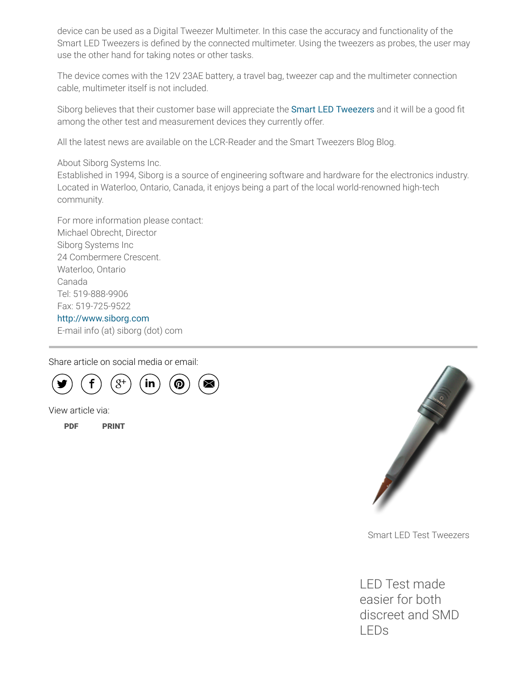device can be used as a Digital Tweezer Multimeter. In this case the accuracy and functionality of the Smart LED Tweezers is de∱ned by the connected multimeter. Using the tweezers as probes, the user may use the other hand for taking notes or other tasks.

The device comes with the 12V 23AE battery, a travel bag, tweezer cap and the multimeter connection cable, multimeter itself is not included.

Siborg believes that their customer base will appreciate the Smart LED [Tweezers](http://www.prweb.net/Redirect.aspx?id=aHR0cDovL3d3dy5zaWJvcmcuY29tL2xlZF90ZXN0X3R3ZWV6ZXJzLmh0bWw=) and it will be a good fit among the other test and measurement devices they currently offer.

All the latest news are available on the LCR-Reader and the Smart Tweezers Blog Blog.

About Siborg Systems Inc.

Established in 1994, Siborg is a source of engineering software and hardware for the electronics industry. Located in Waterloo, Ontario, Canada, it enjoys being a part of the local world-renowned high-tech community.

For more information please contact: Michael Obrecht, Director Siborg Systems Inc 24 Combermere Crescent. Waterloo, Ontario Canada Tel: 519-888-9906 Fax: 519-725-9522 [http://www.siborg.com](http://www.prweb.net/Redirect.aspx?id=aHR0cDovL3d3dy5zaWJvcmcuY29t) E-mail info (at) siborg (dot) com

Share article on social media or email:



View article via:

[PDF](http://www.prweb.com/pdfdownload/13041904.pdf) [PRINT](http://www.prweb.com/printer/13041904.htm)



Smart LED Test Tweezers

LED Test made easier for both discreet and SMD LEDs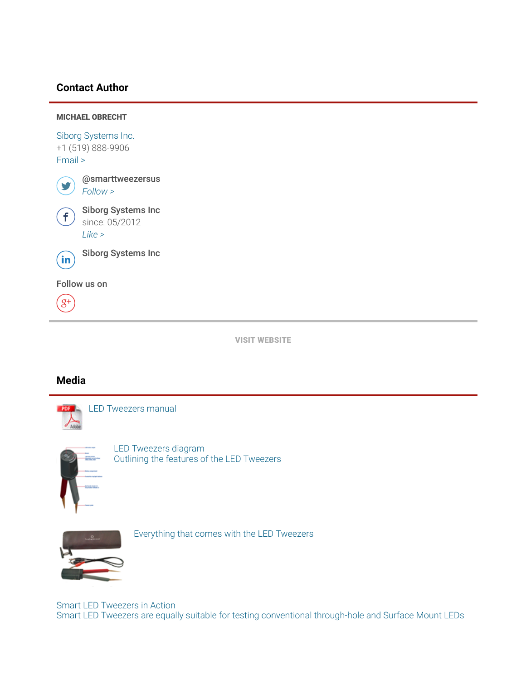#### Contact Author



VISIT [WEBSITE](http://www.prweb.net/Redirect.aspx?id=aHR0cDovL3d3dy5sY3ItcmVhZGVyLmNvbQ==)

#### Media



LED [Tweezers](http://ww1.prweb.com/prfiles/2015/10/15/13041904/tweezerdiagram.jpg) diagram Outlining the features of the LED Tweezers



**Balance** 

[Everything](http://ww1.prweb.com/prfiles/2015/10/15/13041904/everything.jpg) that comes with the LED Tweezers

Smart LED Tweezers in Action Smart LED Tweezers are equally suitable for testing [conventional](http://ww1.prweb.com/prfiles/2015/10/23/13041904/LEDhand.jpg) through-hole and Surface Mount LEDs